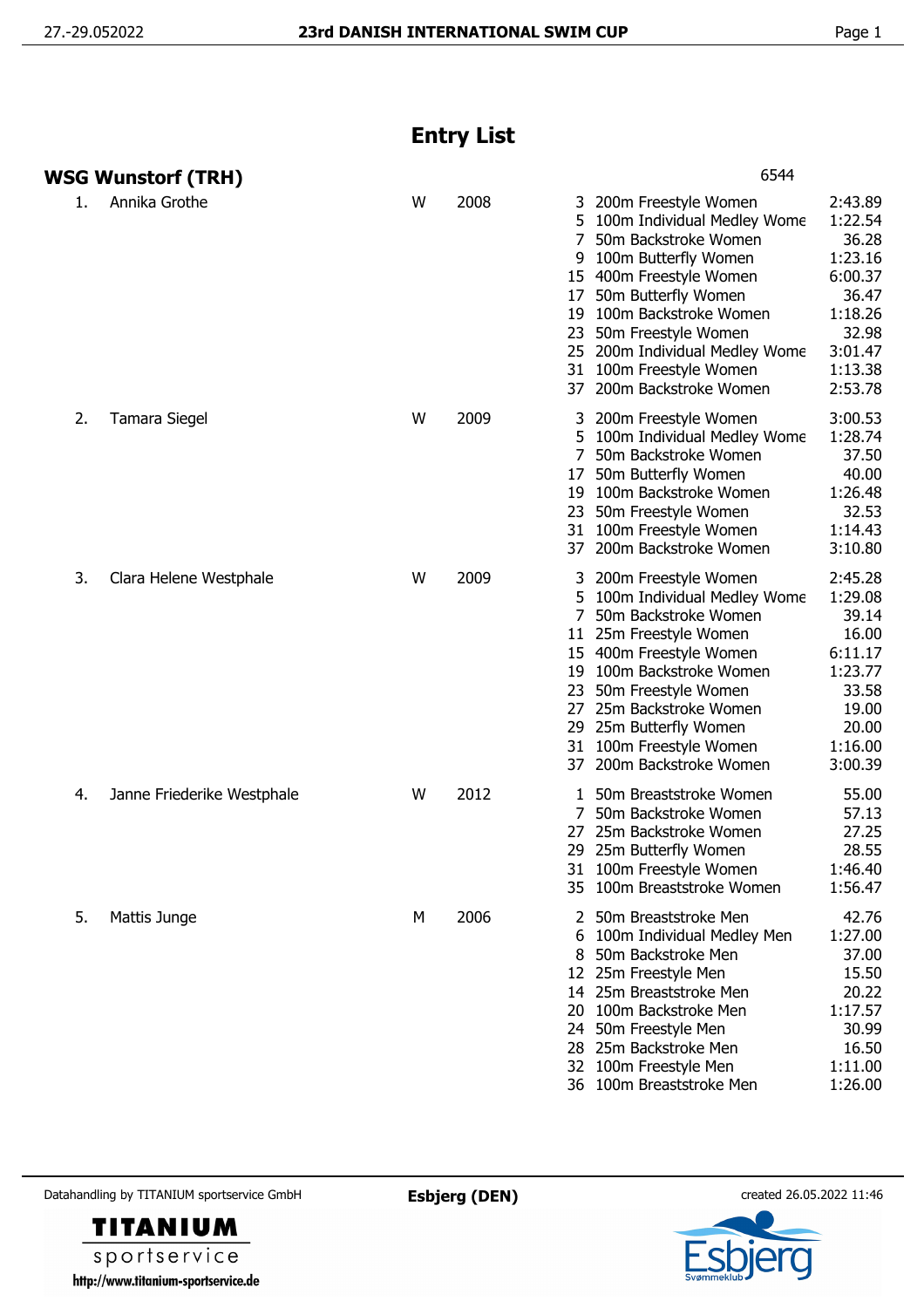## **Entry List**

|    | WSG Wunstorf (TRH)         |   |      | 6544                                                                                                                                                                                                                                                                                                                                                                                                                                                 |
|----|----------------------------|---|------|------------------------------------------------------------------------------------------------------------------------------------------------------------------------------------------------------------------------------------------------------------------------------------------------------------------------------------------------------------------------------------------------------------------------------------------------------|
| 1. | Annika Grothe              | W | 2008 | 2:43.89<br>3 200m Freestyle Women<br>1:22.54<br>100m Individual Medley Wome<br>5<br>36.28<br>50m Backstroke Women<br>7<br>100m Butterfly Women<br>1:23.16<br>9<br>6:00.37<br>15 400m Freestyle Women<br>50m Butterfly Women<br>36.47<br>17<br>100m Backstroke Women<br>1:18.26<br>19<br>32.98<br>50m Freestyle Women<br>23<br>3:01.47<br>25 200m Individual Medley Wome<br>31 100m Freestyle Women<br>1:13.38<br>2:53.78<br>37 200m Backstroke Women |
| 2. | Tamara Siegel              | W | 2009 | 3:00.53<br>200m Freestyle Women<br>1:28.74<br>5<br>100m Individual Medley Wome<br>37.50<br>50m Backstroke Women<br>$7^{\circ}$<br>40.00<br>50m Butterfly Women<br>17<br>1:26.48<br>19 100m Backstroke Women<br>32.53<br>23 50m Freestyle Women<br>31 100m Freestyle Women<br>1:14.43<br>37 200m Backstroke Women<br>3:10.80                                                                                                                          |
| 3. | Clara Helene Westphale     | W | 2009 | 2:45.28<br>3 200m Freestyle Women<br>1:29.08<br>5 100m Individual Medley Wome<br>39.14<br>7<br>50m Backstroke Women<br>16.00<br>11 25m Freestyle Women<br>15 400m Freestyle Women<br>6:11.17<br>1:23.77<br>19 100m Backstroke Women<br>33.58<br>23 50m Freestyle Women<br>27 25m Backstroke Women<br>19.00<br>29 25m Butterfly Women<br>20.00<br>31 100m Freestyle Women<br>1:16.00<br>37 200m Backstroke Women<br>3:00.39                           |
| 4. | Janne Friederike Westphale | W | 2012 | 50m Breaststroke Women<br>55.00<br>50m Backstroke Women<br>57.13<br>25m Backstroke Women<br>27.25<br>27<br>28.55<br>29 25m Butterfly Women<br>1:46.40<br>31 100m Freestyle Women<br>35 100m Breaststroke Women<br>1:56.47                                                                                                                                                                                                                            |
| 5. | Mattis Junge               | М | 2006 | 42.76<br>2 50m Breaststroke Men<br>1:27.00<br>100m Individual Medley Men<br>50m Backstroke Men<br>37.00<br>8<br>12 25m Freestyle Men<br>15.50<br>14 25m Breaststroke Men<br>20.22<br>1:17.57<br>20 100m Backstroke Men<br>24 50m Freestyle Men<br>30.99<br>28 25m Backstroke Men<br>16.50<br>32 100m Freestyle Men<br>1:11.00<br>1:26.00<br>36 100m Breaststroke Men                                                                                 |

Datahandling by TITANIUM sportservice GmbH **Esbjerg (DEN)** created 26.05.2022 11:46